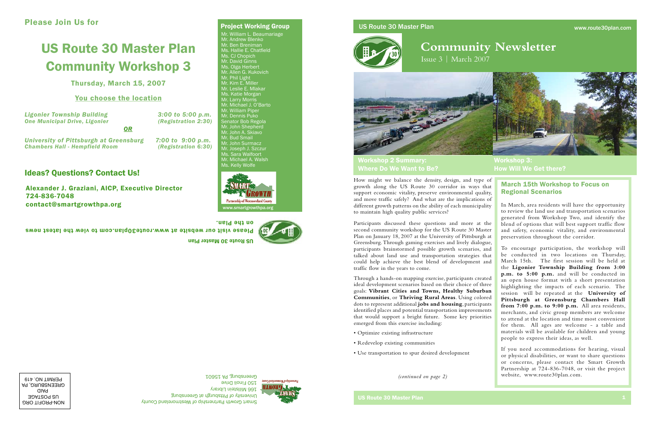# US Route 30 Master Plan



# **Community Newsletter**

Issue 3 | March 2007



# Please Join Us for

# US Route 30 Master Plan Community Workshop 3

Thursday, March 15, 2007

# You choose the location

Alexander J. Graziani, AICP, Executive Director 724-836-7048 contact@smartgrowthpa.org

US Route 30 Master Plan



# www.smartgrowthpa.org



How might we balance the density, design, and type of growth along the US Route 30 corridor in ways that support economic vitality, preserve environmental quality, and move traffic safely? And what are the implications of different growth patterns on the ability of each municipality to maintain high quality public services?

Participants discussed these questions and more at the second community workshop for the US Route 30 Master Plan on January 18, 2007 at the University of Pittsburgh at Greensburg. Through gaming exercises and lively dialogue, participants brainstormed possible growth scenarios, and talked about land use and transportation strategies that could help achieve the best blend of development and traffic flow in the years to come.

Through a hands-on mapping exercise, participants created ideal development scenarios based on their choice of three goals: **Vibrant Cities and Towns, Healthy Suburban Communities**, or **Thriving Rural Areas**. Using colored dots to represent additional **jobs and housing**, participants identified places and potential transportation improvements that would support a bright future. Some key priorities emerged from this exercise including:

*Ligonier Township Building 3:00 to 5:00 p.m.*  **One Municipal Drive, Ligonier** *University of Pittsburgh at Greensburg 7:00 to 9:00 p.m.*  **Chambers Hall - Hempfield Room** *OR*

- Optimize existing infrastructure
- Redevelop existing communities
- Use transportation to spur desired development

*(continued on page 2)*

In March, area residents will have the opportunity to review the land use and transportation scenarios generated from Workshop Two, and identify the blend of options that will best support traffic flow and safety, economic vitality, and environmental preservation throughout the corridor.

To encourage participation, the workshop will be conducted in two locations on Thursday, March 15th. The first session will be held at the **Ligonier Township Building from 3:00 p.m. to 5:00 p.m.** and will be conducted in an open house format with a short presentation highlighting the impacts of each scenario. The session will be repeated at the **University of Pittsburgh at Greensburg Chambers Hall from 7:00 p.m. to 9:00 p.m.** All area residents, merchants, and civic group members are welcome to attend at the location and time most convenient for them. All ages are welcome - a table and materials will be available for children and young people to express their ideas, as well.

If you need accommodations for hearing, visual or physical disabilities, or want to share questions or concerns, please contact the Smart Growth Partnership at 724-836-7048, or visit the project website, www.route30plan.com.

# March 15th Workshop to Focus on Regional Scenarios

Workshop 2 Summary: Where Do We Want to Be?

Workshop 3: How Will We Get there?

NON-PROFIT ORG US POSTAGE PAID GREENSBURG, PA PERMIT NO. 419



# Ideas? Questions? Contact Us!



Mr. William L. Beaumariage Mr. Andrew Blenko Mr. Ben Breniman Ms. Hallie E. Chatfield Ms. CJ Chopich Mr. David Ginns Ms. Olga Herbert Mr. Allen G. Kukovich Mr. Phil Light Mr. Kim E. Miller Mr. Leslie E. Mlakar Ms. Katie Morgan Mr. Larry Morris Mr. Michael J. O'Barto Mr. William Piper Mr. Dennis Puko Senator Bob Regola Mr. John Shepherd Mr. John A. Skiavo Mr. Bud Smail Mr. John Surmacz Mr. Joseph J. Szczur Ms. Sara Walfoort Mr. Michael A. Walsh Ms. Kelly Wolfe